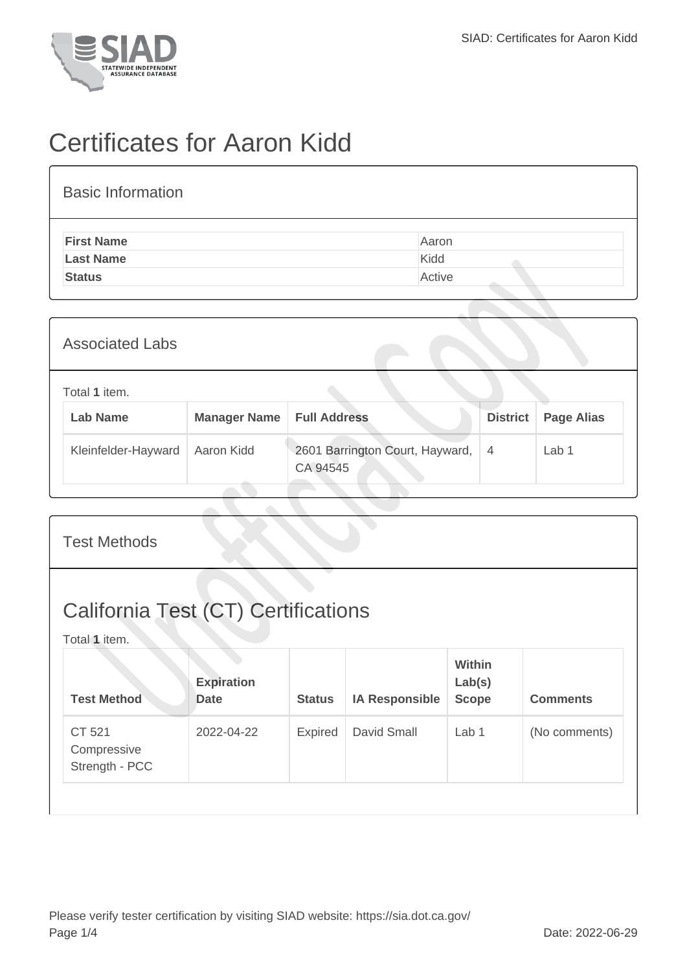

## Certificates for Aaron Kidd

| <b>Basic Information</b> |        |
|--------------------------|--------|
| <b>First Name</b>        | Aaron  |
| <b>Last Name</b>         | Kidd   |
| <b>Status</b>            | Active |

| <b>Associated Labs</b>           |                     |                                             |                 |                   |
|----------------------------------|---------------------|---------------------------------------------|-----------------|-------------------|
| Total 1 item.<br><b>Lab Name</b> | <b>Manager Name</b> | <b>Full Address</b>                         | <b>District</b> | <b>Page Alias</b> |
| Kleinfelder-Hayward              | Aaron Kidd          | 2601 Barrington Court, Hayward,<br>CA 94545 | $\overline{4}$  | Lab <sub>1</sub>  |

| <b>Test Methods</b>                                         |                                  |               |                       |                                         |                 |  |
|-------------------------------------------------------------|----------------------------------|---------------|-----------------------|-----------------------------------------|-----------------|--|
| <b>California Test (CT) Certifications</b><br>Total 1 item. |                                  |               |                       |                                         |                 |  |
| <b>Test Method</b>                                          | <b>Expiration</b><br><b>Date</b> | <b>Status</b> | <b>IA Responsible</b> | <b>Within</b><br>Lab(s)<br><b>Scope</b> | <b>Comments</b> |  |
| CT 521<br>Compressive<br>Strength - PCC                     | 2022-04-22                       | Expired       | David Small           | Lab <sub>1</sub>                        | (No comments)   |  |
|                                                             |                                  |               |                       |                                         |                 |  |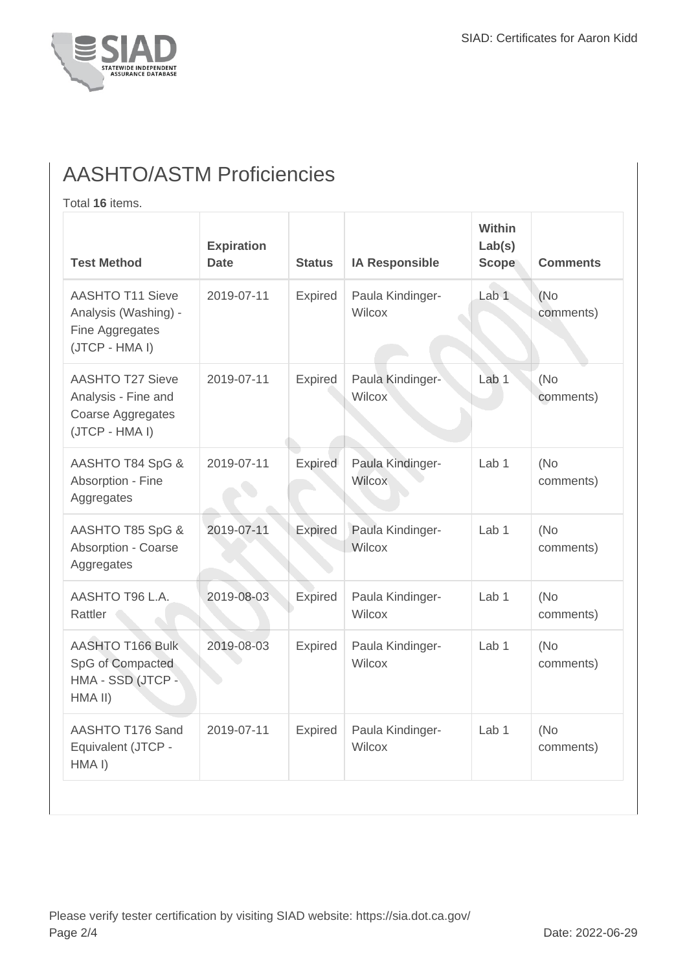

## AASHTO/ASTM Proficiencies

Total **16** items.

| <b>Test Method</b>                                                                    | <b>Expiration</b><br><b>Date</b> | <b>Status</b>  | <b>IA Responsible</b>             | <b>Within</b><br>Lab(s)<br><b>Scope</b> | <b>Comments</b>   |
|---------------------------------------------------------------------------------------|----------------------------------|----------------|-----------------------------------|-----------------------------------------|-------------------|
| <b>AASHTO T11 Sieve</b><br>Analysis (Washing) -<br>Fine Aggregates<br>(JTCP - HMA I)  | 2019-07-11                       | Expired        | Paula Kindinger-<br>Wilcox        | Lab 1                                   | (No<br>comments)  |
| <b>AASHTO T27 Sieve</b><br>Analysis - Fine and<br>Coarse Aggregates<br>(JTCP - HMA I) | 2019-07-11                       | Expired        | Paula Kindinger-<br><b>Wilcox</b> | Lab <sub>1</sub>                        | (No)<br>comments) |
| AASHTO T84 SpG &<br>Absorption - Fine<br>Aggregates                                   | 2019-07-11                       | Expired        | Paula Kindinger-<br><b>Wilcox</b> | Lab <sub>1</sub>                        | (No<br>comments)  |
| AASHTO T85 SpG &<br>Absorption - Coarse<br>Aggregates                                 | 2019-07-11                       | Expired        | Paula Kindinger-<br>Wilcox        | Lab 1                                   | (No<br>comments)  |
| AASHTO T96 L.A.<br>Rattler                                                            | 2019-08-03                       | Expired        | Paula Kindinger-<br>Wilcox        | Lab <sub>1</sub>                        | (No<br>comments)  |
| <b>AASHTO T166 Bulk</b><br>SpG of Compacted<br>HMA - SSD (JTCP -<br>HMA II)           | 2019-08-03                       | Expired        | Paula Kindinger-<br><b>Wilcox</b> | Lab <sub>1</sub>                        | (No<br>comments)  |
| AASHTO T176 Sand<br>Equivalent (JTCP -<br>HMA I)                                      | 2019-07-11                       | <b>Expired</b> | Paula Kindinger-<br>Wilcox        | Lab <sub>1</sub>                        | (No<br>comments)  |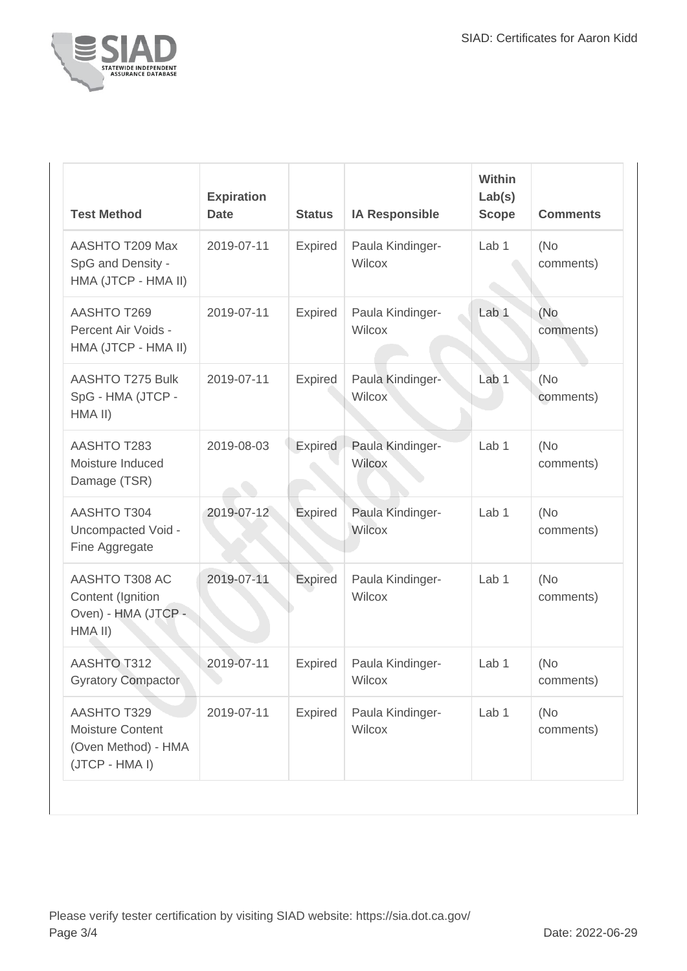

| <b>Test Method</b>                                                              | <b>Expiration</b><br><b>Date</b> | <b>Status</b>  | <b>IA Responsible</b>      | Within<br>Lab(s)<br><b>Scope</b> | <b>Comments</b>   |
|---------------------------------------------------------------------------------|----------------------------------|----------------|----------------------------|----------------------------------|-------------------|
| AASHTO T209 Max<br>SpG and Density -<br>HMA (JTCP - HMA II)                     | 2019-07-11                       | Expired        | Paula Kindinger-<br>Wilcox | Lab <sub>1</sub>                 | (No<br>comments)  |
| AASHTO T269<br>Percent Air Voids -<br>HMA (JTCP - HMA II)                       | 2019-07-11                       | <b>Expired</b> | Paula Kindinger-<br>Wilcox | Lab <sub>1</sub>                 | (No<br>comments)  |
| <b>AASHTO T275 Bulk</b><br>SpG - HMA (JTCP -<br>HMA II)                         | 2019-07-11                       | <b>Expired</b> | Paula Kindinger-<br>Wilcox | Lab <sub>1</sub>                 | (No)<br>comments) |
| <b>AASHTO T283</b><br>Moisture Induced<br>Damage (TSR)                          | 2019-08-03                       | Expired        | Paula Kindinger-<br>Wilcox | Lab <sub>1</sub>                 | (No)<br>comments) |
| <b>AASHTO T304</b><br>Uncompacted Void -<br>Fine Aggregate                      | 2019-07-12                       | Expired        | Paula Kindinger-<br>Wilcox | Lab <sub>1</sub>                 | (No)<br>comments) |
| AASHTO T308 AC<br>Content (Ignition<br>Oven) - HMA (JTCP -<br>HMA II)           | 2019-07-11                       | Expired        | Paula Kindinger-<br>Wilcox | Lab <sub>1</sub>                 | (No)<br>comments) |
| <b>AASHTO T312</b><br><b>Gyratory Compactor</b>                                 | 2019-07-11                       | Expired        | Paula Kindinger-<br>Wilcox | Lab <sub>1</sub>                 | (No)<br>comments) |
| <b>AASHTO T329</b><br>Moisture Content<br>(Oven Method) - HMA<br>(JTCP - HMA I) | 2019-07-11                       | Expired        | Paula Kindinger-<br>Wilcox | Lab 1                            | (No)<br>comments) |